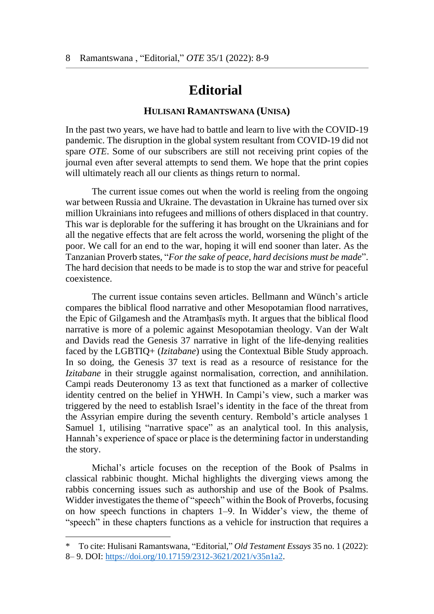## **Editorial<sup>1</sup>**

## **HULISANI RAMANTSWANA (UNISA)**

In the past two years, we have had to battle and learn to live with the COVID-19 pandemic. The disruption in the global system resultant from COVID-19 did not spare *OTE*. Some of our subscribers are still not receiving print copies of the journal even after several attempts to send them. We hope that the print copies will ultimately reach all our clients as things return to normal.

The current issue comes out when the world is reeling from the ongoing war between Russia and Ukraine. The devastation in Ukraine has turned over six million Ukrainians into refugees and millions of others displaced in that country. This war is deplorable for the suffering it has brought on the Ukrainians and for all the negative effects that are felt across the world, worsening the plight of the poor. We call for an end to the war, hoping it will end sooner than later. As the Tanzanian Proverb states, "*For the sake of peace, hard decisions must be made*". The hard decision that needs to be made is to stop the war and strive for peaceful coexistence.

The current issue contains seven articles. Bellmann and Wünch's article compares the biblical flood narrative and other Mesopotamian flood narratives, the Epic of Gilgamesh and the Atramḫasīs myth. It argues that the biblical flood narrative is more of a polemic against Mesopotamian theology. Van der Walt and Davids read the Genesis 37 narrative in light of the life-denying realities faced by the LGBTIQ+ (*Izitabane*) using the Contextual Bible Study approach. In so doing, the Genesis 37 text is read as a resource of resistance for the *Izitabane* in their struggle against normalisation, correction, and annihilation. Campi reads Deuteronomy 13 as text that functioned as a marker of collective identity centred on the belief in YHWH. In Campi's view, such a marker was triggered by the need to establish Israel's identity in the face of the threat from the Assyrian empire during the seventh century. Rembold's article analyses 1 Samuel 1, utilising "narrative space" as an analytical tool. In this analysis, Hannah's experience of space or place is the determining factor in understanding the story.

Michal's article focuses on the reception of the Book of Psalms in classical rabbinic thought. Michal highlights the diverging views among the rabbis concerning issues such as authorship and use of the Book of Psalms. Widder investigates the theme of "speech" within the Book of Proverbs, focusing on how speech functions in chapters 1–9. In Widder's view, the theme of "speech" in these chapters functions as a vehicle for instruction that requires a

 $\overline{a}$ 

<sup>\*</sup> To cite: Hulisani Ramantswana, "Editorial," *Old Testament Essays* 35 no. 1 (2022): 8– 9. DOI: [https://doi.org/10.17159/2312-3621/2021/v35n1a2.](https://doi.org/10.17159/2312-3621/2021/v35n1a2)